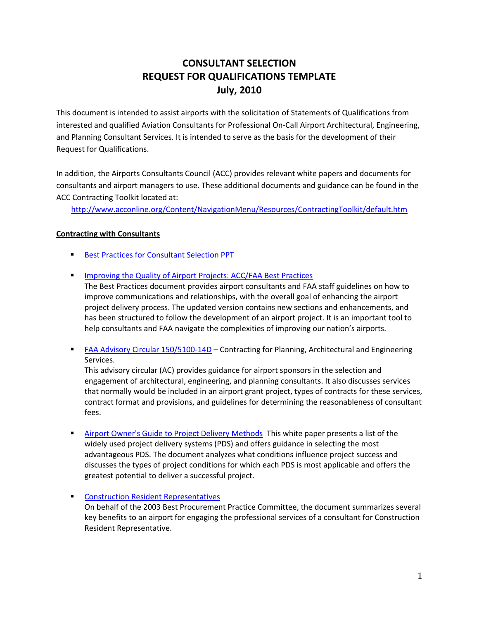## **CONSULTANT SELECTION REQUEST FOR QUALIFICATIONS TEMPLATE July, 2010**

This document is intended to assist airports with the solicitation of Statements of Qualifications from interested and qualified Aviation Consultants for Professional On‐Call Airport Architectural, Engineering, and Planning Consultant Services. It is intended to serve as the basis for the development of their Request for Qualifications.

In addition, the Airports Consultants Council (ACC) provides relevant white papers and documents for consultants and airport managers to use. These additional documents and guidance can be found in the ACC Contracting Toolkit located at:

http://www.acconline.org/Content/NavigationMenu/Resources/ContractingToolkit/default.htm

#### **Contracting with Consultants**

- **Best Practices for Consultant Selection PPT**
- **IMPROVING THE QUALITY OF AIRPORT PROJECTS: ACC/FAA Best Practices**

The Best Practices document provides airport consultants and FAA staff guidelines on how to improve communications and relationships, with the overall goal of enhancing the airport project delivery process. The updated version contains new sections and enhancements, and has been structured to follow the development of an airport project. It is an important tool to help consultants and FAA navigate the complexities of improving our nation's airports.

■ FAA Advisory Circular 150/5100-14D – Contracting for Planning, Architectural and Engineering Services.

This advisory circular (AC) provides guidance for airport sponsors in the selection and engagement of architectural, engineering, and planning consultants. It also discusses services that normally would be included in an airport grant project, types of contracts for these services, contract format and provisions, and guidelines for determining the reasonableness of consultant fees.

**Airport Owner's Guide to Project Delivery Methods This white paper presents a list of the** widely used project delivery systems (PDS) and offers guidance in selecting the most advantageous PDS. The document analyzes what conditions influence project success and discusses the types of project conditions for which each PDS is most applicable and offers the greatest potential to deliver a successful project.

#### **Construction Resident Representatives**

On behalf of the 2003 Best Procurement Practice Committee, the document summarizes several key benefits to an airport for engaging the professional services of a consultant for Construction Resident Representative.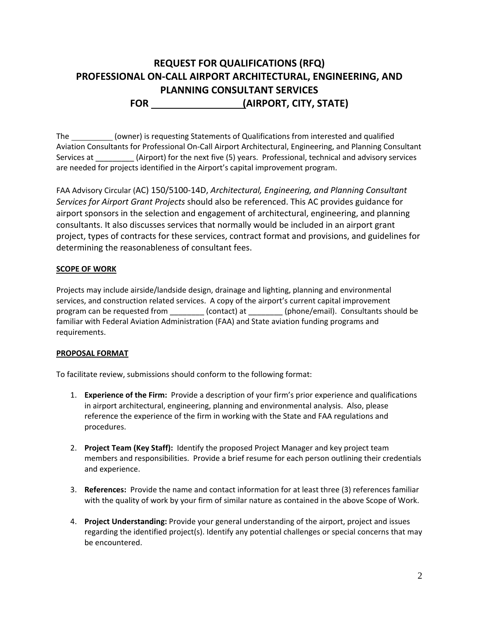# **REQUEST FOR QUALIFICATIONS (RFQ) PROFESSIONAL ON‐CALL AIRPORT ARCHITECTURAL, ENGINEERING, AND PLANNING CONSULTANT SERVICES FOR (AIRPORT, CITY, STATE)**

The (owner) is requesting Statements of Qualifications from interested and qualified Aviation Consultants for Professional On‐Call Airport Architectural, Engineering, and Planning Consultant Services at \_\_\_\_\_\_\_\_\_ (Airport) for the next five (5) years. Professional, technical and advisory services are needed for projects identified in the Airport's capital improvement program.

FAA Advisory Circular (AC) 150/5100‐14D, *Architectural, Engineering, and Planning Consultant Services for Airport Grant Projects* should also be referenced. This AC provides guidance for airport sponsors in the selection and engagement of architectural, engineering, and planning consultants. It also discusses services that normally would be included in an airport grant project, types of contracts for these services, contract format and provisions, and guidelines for determining the reasonableness of consultant fees.

## **SCOPE OF WORK**

Projects may include airside/landside design, drainage and lighting, planning and environmental services, and construction related services. A copy of the airport's current capital improvement program can be requested from  $(contact)$  at  $(phone/email)$ . Consultants should be familiar with Federal Aviation Administration (FAA) and State aviation funding programs and requirements.

## **PROPOSAL FORMAT**

To facilitate review, submissions should conform to the following format:

- 1. **Experience of the Firm:** Provide a description of your firm's prior experience and qualifications in airport architectural, engineering, planning and environmental analysis. Also, please reference the experience of the firm in working with the State and FAA regulations and procedures.
- 2. **Project Team (Key Staff):** Identify the proposed Project Manager and key project team members and responsibilities. Provide a brief resume for each person outlining their credentials and experience.
- 3. **References:** Provide the name and contact information for at least three (3) references familiar with the quality of work by your firm of similar nature as contained in the above Scope of Work.
- 4. **Project Understanding:** Provide your general understanding of the airport, project and issues regarding the identified project(s). Identify any potential challenges or special concerns that may be encountered.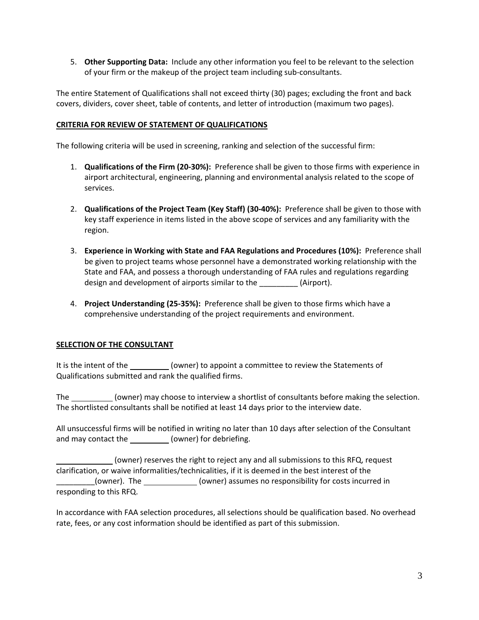5. **Other Supporting Data:** Include any other information you feel to be relevant to the selection of your firm or the makeup of the project team including sub‐consultants.

The entire Statement of Qualifications shall not exceed thirty (30) pages; excluding the front and back covers, dividers, cover sheet, table of contents, and letter of introduction (maximum two pages).

#### **CRITERIA FOR REVIEW OF STATEMENT OF QUALIFICATIONS**

The following criteria will be used in screening, ranking and selection of the successful firm:

- 1. **Qualifications of the Firm (20‐30%):** Preference shall be given to those firms with experience in airport architectural, engineering, planning and environmental analysis related to the scope of services.
- 2. **Qualifications of the Project Team (Key Staff) (30‐40%):** Preference shall be given to those with key staff experience in items listed in the above scope of services and any familiarity with the region.
- 3. **Experience in Working with State and FAA Regulations and Procedures (10%):** Preference shall be given to project teams whose personnel have a demonstrated working relationship with the State and FAA, and possess a thorough understanding of FAA rules and regulations regarding design and development of airports similar to the \_\_\_\_\_\_\_\_\_ (Airport).
- 4. **Project Understanding (25‐35%):** Preference shall be given to those firms which have a comprehensive understanding of the project requirements and environment.

## **SELECTION OF THE CONSULTANT**

It is the intent of the (owner) to appoint a committee to review the Statements of Qualifications submitted and rank the qualified firms.

The \_\_\_\_\_\_\_\_\_\_\_(owner) may choose to interview a shortlist of consultants before making the selection. The shortlisted consultants shall be notified at least 14 days prior to the interview date.

All unsuccessful firms will be notified in writing no later than 10 days after selection of the Consultant and may contact the \_\_\_\_\_\_\_\_\_\_\_ (owner) for debriefing.

 (owner) reserves the right to reject any and all submissions to this RFQ, request clarification, or waive informalities/technicalities, if it is deemed in the best interest of the \_(owner). The \_\_\_\_\_\_\_\_\_\_\_\_\_(owner) assumes no responsibility for costs incurred in responding to this RFQ.

In accordance with FAA selection procedures, all selections should be qualification based. No overhead rate, fees, or any cost information should be identified as part of this submission.